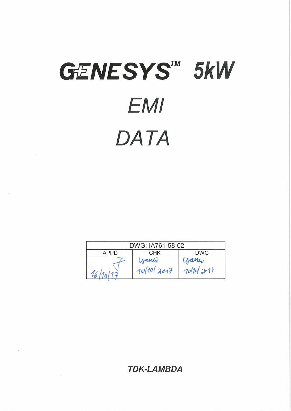# GENESYS<sup>TM</sup> 5kW **EMI** DATA

 $\bar{\mathbf{r}}$ 

 $\overline{\phantom{a}}$ 

| DWG: IA761-58-02                        |  |  |  |  |
|-----------------------------------------|--|--|--|--|
| DWG<br>CHK<br>APPI)                     |  |  |  |  |
| ganer<br>ganer<br>10/10/2017<br>70/1421 |  |  |  |  |

**TDK-LAMBDA**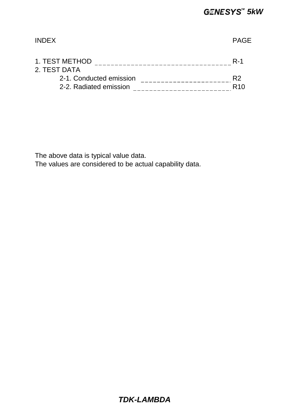# INDEX PAGE 1. TEST METHOD R-1 2. TEST DATA  $21$  Conducted emission  $22$

| 2-1. Conducted emission |  |
|-------------------------|--|
| 2-2. Radiated emission  |  |

The above data is typical value data.

The values are considered to be actual capability data.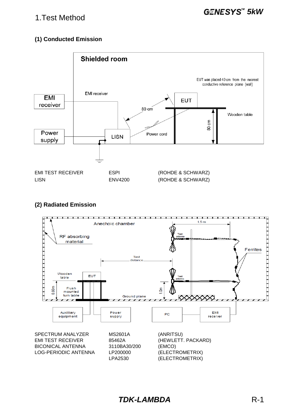## 1.Test Method

#### **(1) Conducted Emission**



#### **(2) Radiated Emission**



*TDK-LAMBDA* R-1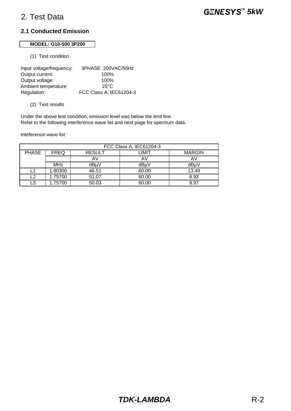#### **MODEL: G10-500 3P200**

(1) Test condition

Input voltage/frequency: 3PHASE 200VAC/50Hz Output current: 100% Output voltage: 100% Ambient temperature: 25°C Regulation: FCC Class A, IEC61204-3

(2) Test results

Under the above test condition, emission level was below the limit line. Refer to the following interference wave list and next page for spectrum data.

| FCC Class A, IEC61204-3 |             |               |       |               |
|-------------------------|-------------|---------------|-------|---------------|
| <b>PHASE</b>            | <b>FREQ</b> | <b>RESULT</b> | LIMIT | <b>MARGIN</b> |
|                         |             | AV            | AV    | AV            |
|                         | <b>MHz</b>  | dBµV          | dBµV  | dBuV          |
|                         | 1.80300     | 46.51         | 60.00 | 13.49         |
| L2                      | 1.75700     | 51.07         | 60.00 | 8.93          |
| L3                      | 1.75700     | 50.03         | 60.00 | 9.97          |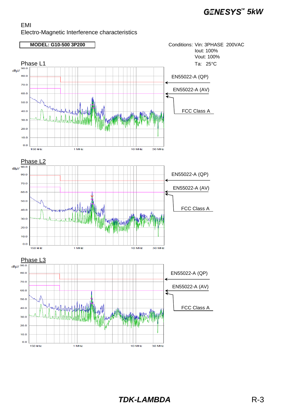

*TDK-LAMBDA* R-3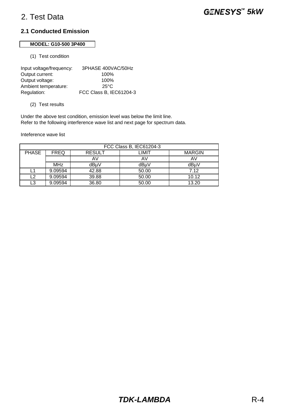#### **MODEL: G10-500 3P400**

(1) Test condition

Input voltage/frequency: 3PHASE 400VAC/50Hz Output current: 100% Output voltage: 100% Ambient temperature: 25°C Regulation: FCC Class B, IEC61204-3

(2) Test results

Under the above test condition, emission level was below the limit line. Refer to the following interference wave list and next page for spectrum data.

| FCC Class B, IEC61204-3 |             |               |       |               |
|-------------------------|-------------|---------------|-------|---------------|
| <b>PHASE</b>            | <b>FREQ</b> | <b>RESULT</b> | LIMIT | <b>MARGIN</b> |
|                         |             | AV            | AV    | AV            |
|                         | <b>MHz</b>  | dBuV          | dBµV  | dBµV          |
|                         | 9.09594     | 42.88         | 50.00 | 7.12          |
| L2                      | 9.09594     | 39.88         | 50.00 | 10.12         |
| L3                      | 9.09594     | 36.80         | 50.00 | 13.20         |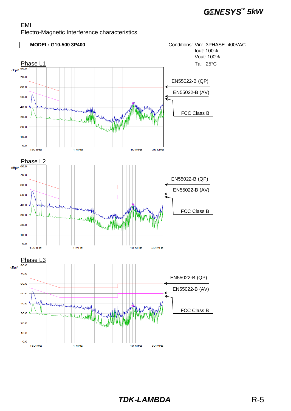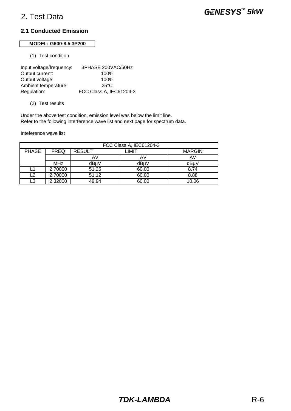#### **MODEL: G600-8.5 3P200**

(1) Test condition

| Input voltage/frequency: | 3PHASE 200VAC/50Hz      |
|--------------------------|-------------------------|
| Output current:          | 100%                    |
| Output voltage:          | 100%                    |
| Ambient temperature:     | 25°C                    |
| Regulation:              | FCC Class A, IEC61204-3 |

(2) Test results

Under the above test condition, emission level was below the limit line. Refer to the following interference wave list and next page for spectrum data.

| FCC Class A, IEC61204-3 |             |               |       |               |
|-------------------------|-------------|---------------|-------|---------------|
| <b>PHASE</b>            | <b>FREQ</b> | <b>RESULT</b> | LIMIT | <b>MARGIN</b> |
|                         |             | AV            | AV    | AV            |
|                         | <b>MHz</b>  | dBuV          | dBµV  | dBuV          |
| L1                      | 2.70000     | 51.26         | 60.00 | 8.74          |
| L2                      | 2.70000     | 51.12         | 60.00 | 8.88          |
| L3                      | 2.32000     | 49.94         | 60.00 | 10.06         |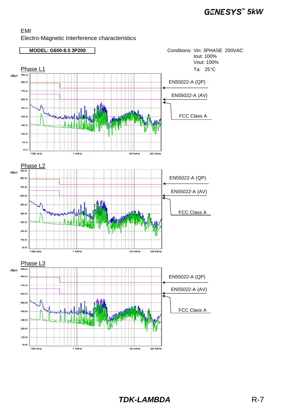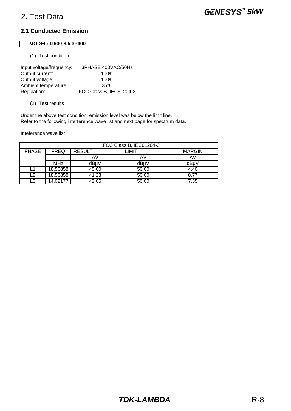#### **MODEL: G600-8.5 3P400**

(1) Test condition

| Input voltage/frequency: | 3PHASE 400VAC/50Hz      |
|--------------------------|-------------------------|
| Output current:          | 100%                    |
| Output voltage:          | 100%                    |
| Ambient temperature:     | 25°C                    |
| Regulation:              | FCC Class B, IEC61204-3 |

(2) Test results

Under the above test condition, emission level was below the limit line. Refer to the following interference wave list and next page for spectrum data.

| FCC Class B, IEC61204-3 |             |               |       |               |
|-------------------------|-------------|---------------|-------|---------------|
| <b>PHASE</b>            | <b>FREQ</b> | <b>RESULT</b> | LIMIT | <b>MARGIN</b> |
|                         |             | AV            | AV    |               |
|                         | <b>MHz</b>  | dBu∨          | dBµV  | dBuV          |
| L1                      | 18.56858    | 45.60         | 50.00 | 4.40          |
| L2                      | 18.56858    | 41.23         | 50.00 | 8.77          |
| L3                      | 14.02177    | 42.65         | 50.00 | 7.35          |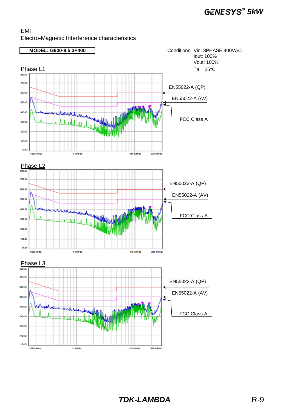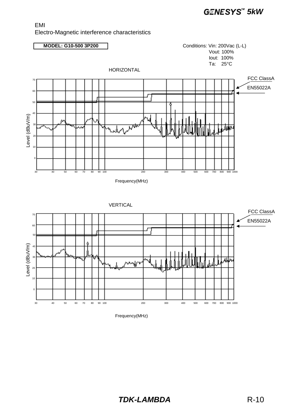#### EMI Electro-Magnetic interference characteristics



Frequency(MHz)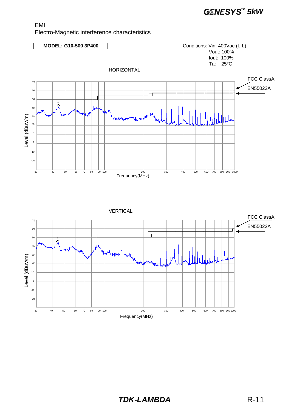#### EMI Electro-Magnetic interference characteristics

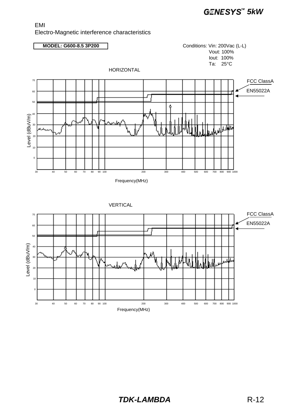#### EMI Electro-Magnetic interference characteristics



Frequency(MHz)